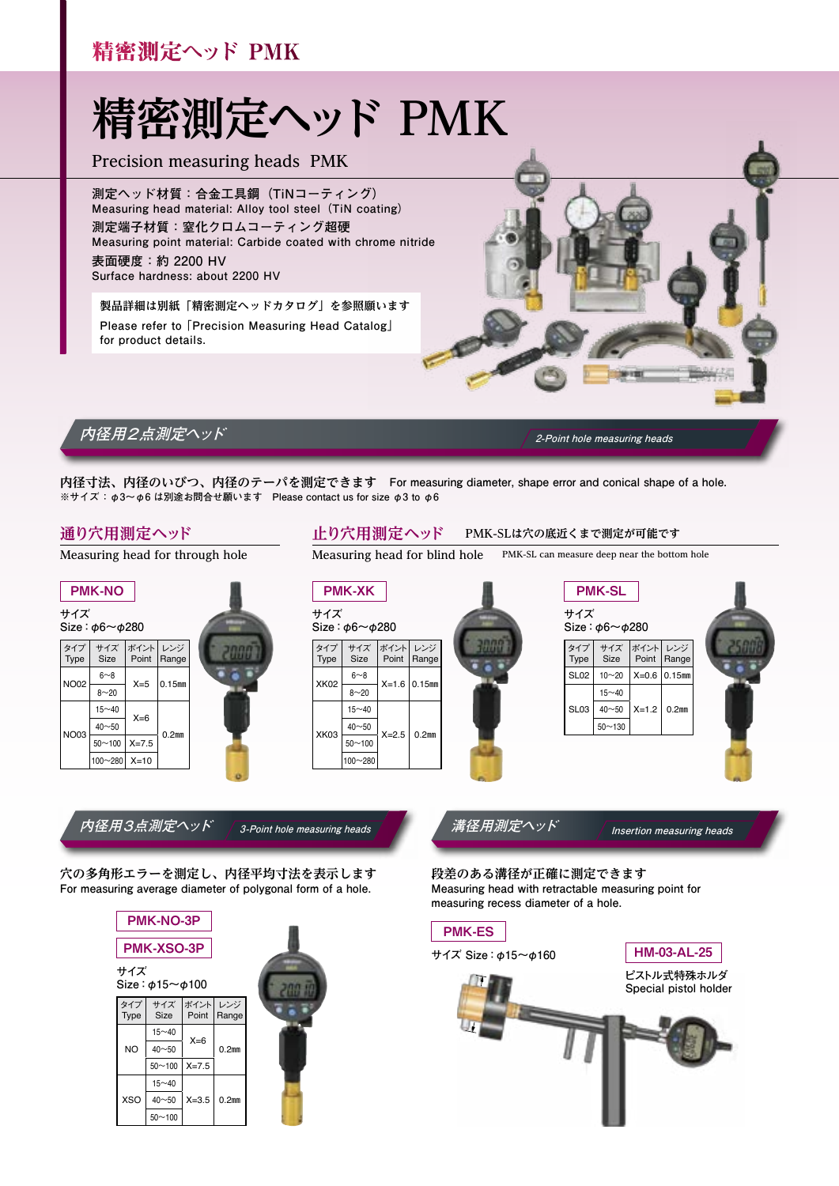## 精密測定ヘッド PMK

# **精密測定ヘッド PMK**

**Precision measuring heads PMK**

**測定ヘッド材質:合金工具鋼(TiNコーティング) Measuring head material: Alloy tool steel(TiN coating) 測定端子材質:窒化クロムコーティング超硬 Measuring point material: Carbide coated with chrome nitride 表面硬度:約 2200 HV Surface hardness: about 2200 HV**

**製品詳細は別紙「精密測定ヘッドカタログ」を参照願います Please refer to 「Precision Measuring Head Catalog」 for product details.** 



### **内径用2点測定ヘッド 2-Point hole measuring heads**

**内径寸法、内径のいびつ、内径のテーパを測定できます For measuring diameter, shape error and conical shape of a hole. ※サイズ :φ3~φ6 は別途お問合せ願います Please contact us for size φ3 to φ6**

#### **通り穴用測定ヘッド**

**Measuring head for through hole** 

#### **サイズ Size:φ6~φ280** PMK-NO タイプ Type サイズ Size ポイント Point レンジ Range NO02  $6~8$  $X = 5$  0.15mm  $8 - 20$ NO03  $15~10$  $X=6$  $\frac{40 \times 50}{50 \times 100} \xrightarrow{\chi \to 0} 0.2 \text{mm}$  $50 - 100$  $100~280$  X=10

#### **止り穴用測定ヘッド PMK-SLは穴の底近くまで測定が可能です**

**Measuring head for blind hole PMK-SL can measure deep near the bottom hole** 

#### **サイズ Size:φ6~φ280** PMK-XK タイプ Type サイズ Size ポイント Point レンジ Range XK02  $6~8$  $X=1.6$  0.15mm  $8 - 20$ XK03  $15~10$  $\frac{40 \times 50}{20}$  X=2.5 0.2mm  $50 - 100$

100~280

# PMK-SL

**サイズ Size:φ6~φ280** タイプ Type サイズ Size ポイント Point レンジ Range  $SLO2$  10~20  $\mid$  X=0.6  $\mid$  0.15mm  $SI<sub>03</sub>$  $15 - 40$  $40~50$   $X=1.2$  0.2mm  $50 - 130$ 



**内径用3点測定ヘッド 3-Point hole measuring heads 溝径用測定ヘッド Insertion measuring heads** 

**穴の多角形エラーを測定し、内径平均寸法を表示します For measuring average diameter of polygonal form of a hole.**



**段差のある溝径が正確に測定できます Measuring head with retractable measuring point for measuring recess diameter of a hole.**

PMK-ES